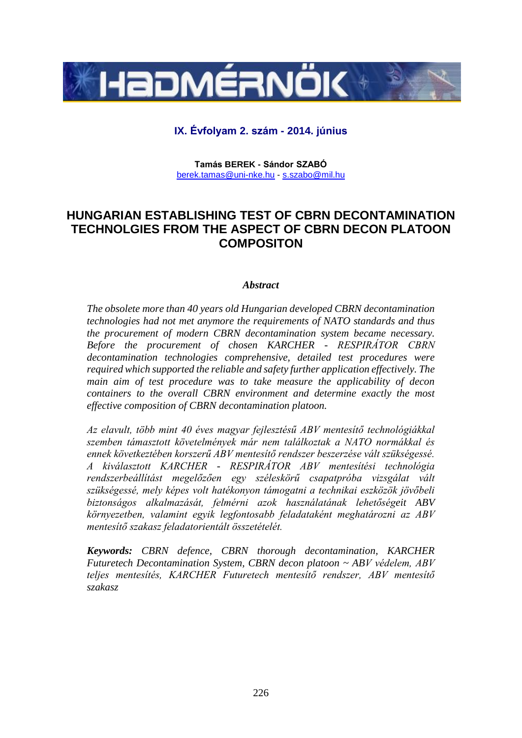

# **IX. Évfolyam 2. szám - 2014. június**

**Tamás BEREK - Sándor SZABÓ** [berek.tamas@uni-nke.hu](mailto:berek.tamas@uni-nke.hu) - [s.szabo@mil.hu](mailto:s.szabo@mil.hu)

# **HUNGARIAN ESTABLISHING TEST OF CBRN DECONTAMINATION TECHNOLGIES FROM THE ASPECT OF CBRN DECON PLATOON COMPOSITON**

#### *Abstract*

*The obsolete more than 40 years old Hungarian developed CBRN decontamination technologies had not met anymore the requirements of NATO standards and thus the procurement of modern CBRN decontamination system became necessary. Before the procurement of chosen KARCHER - RESPIRÁTOR CBRN decontamination technologies comprehensive, detailed test procedures were required which supported the reliable and safety further application effectively. The main aim of test procedure was to take measure the applicability of decon containers to the overall CBRN environment and determine exactly the most effective composition of CBRN decontamination platoon.* 

*Az elavult, több mint 40 éves magyar fejlesztésű ABV mentesítő technológiákkal szemben támasztott követelmények már nem találkoztak a NATO normákkal és ennek következtében korszerű ABV mentesítő rendszer beszerzése vált szükségessé. A kiválasztott KARCHER - RESPIRÁTOR ABV mentesítési technológia rendszerbeállítást megelőzően egy széleskörű csapatpróba vizsgálat vált szükségessé, mely képes volt hatékonyon támogatni a technikai eszközök jövőbeli biztonságos alkalmazását, felmérni azok használatának lehetőségeit ABV környezetben, valamint egyik legfontosabb feladataként meghatározni az ABV mentesítő szakasz feladatorientált összetételét.* 

*Keywords: CBRN defence, CBRN thorough decontamination, KARCHER Futuretech Decontamination System, CBRN decon platoon ~ ABV védelem, ABV teljes mentesítés, KARCHER Futuretech mentesítő rendszer, ABV mentesítő szakasz*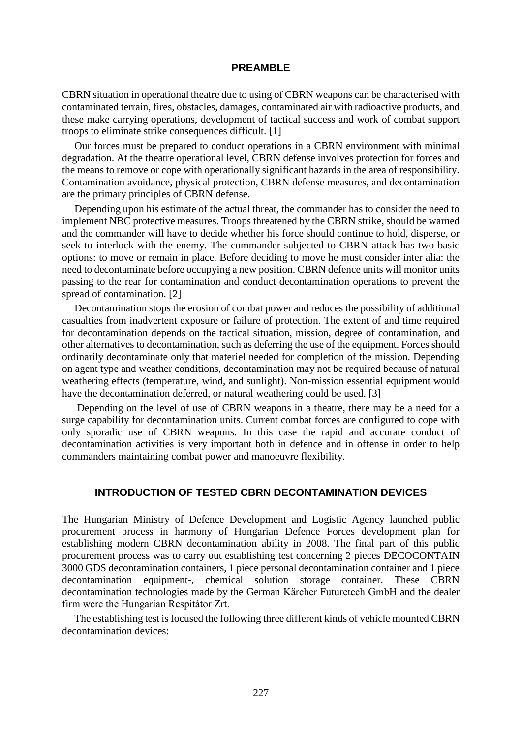#### **PREAMBLE**

CBRN situation in operational theatre due to using of CBRN weapons can be characterised with contaminated terrain, fires, obstacles, damages, contaminated air with radioactive products, and these make carrying operations, development of tactical success and work of combat support troops to eliminate strike consequences difficult. [1]

Our forces must be prepared to conduct operations in a CBRN environment with minimal degradation. At the theatre operational level, CBRN defense involves protection for forces and the means to remove or cope with operationally significant hazards in the area of responsibility. Contamination avoidance, physical protection, CBRN defense measures, and decontamination are the primary principles of CBRN defense.

Depending upon his estimate of the actual threat, the commander has to consider the need to implement NBC protective measures. Troops threatened by the CBRN strike, should be warned and the commander will have to decide whether his force should continue to hold, disperse, or seek to interlock with the enemy. The commander subjected to CBRN attack has two basic options: to move or remain in place. Before deciding to move he must consider inter alia: the need to decontaminate before occupying a new position. CBRN defence units will monitor units passing to the rear for contamination and conduct decontamination operations to prevent the spread of contamination. [2]

Decontamination stops the erosion of combat power and reduces the possibility of additional casualties from inadvertent exposure or failure of protection. The extent of and time required for decontamination depends on the tactical situation, mission, degree of contamination, and other alternatives to decontamination, such as deferring the use of the equipment. Forces should ordinarily decontaminate only that materiel needed for completion of the mission. Depending on agent type and weather conditions, decontamination may not be required because of natural weathering effects (temperature, wind, and sunlight). Non-mission essential equipment would have the decontamination deferred, or natural weathering could be used. [3]

Depending on the level of use of CBRN weapons in a theatre, there may be a need for a surge capability for decontamination units. Current combat forces are configured to cope with only sporadic use of CBRN weapons. In this case the rapid and accurate conduct of decontamination activities is very important both in defence and in offense in order to help commanders maintaining combat power and manoeuvre flexibility.

#### **INTRODUCTION OF TESTED CBRN DECONTAMINATION DEVICES**

The Hungarian Ministry of Defence Development and Logistic Agency launched public procurement process in harmony of Hungarian Defence Forces development plan for establishing modern CBRN decontamination ability in 2008. The final part of this public procurement process was to carry out establishing test concerning 2 pieces DECOCONTAIN 3000 GDS decontamination containers, 1 piece personal decontamination container and 1 piece decontamination equipment-, chemical solution storage container. These CBRN decontamination technologies made by the German Kärcher Futuretech GmbH and the dealer firm were the Hungarian Respitátor Zrt.

The establishing test is focused the following three different kinds of vehicle mounted CBRN decontamination devices: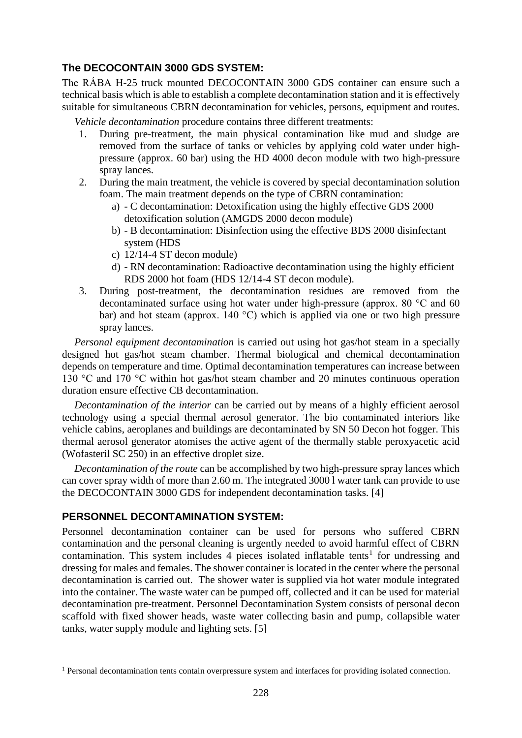# **The DECOCONTAIN 3000 GDS SYSTEM:**

The RÁBA H-25 truck mounted DECOCONTAIN 3000 GDS container can ensure such a technical basis which is able to establish a complete decontamination station and it is effectively suitable for simultaneous CBRN decontamination for vehicles, persons, equipment and routes.

*Vehicle decontamination* procedure contains three different treatments:

- 1. During pre-treatment, the main physical contamination like mud and sludge are removed from the surface of tanks or vehicles by applying cold water under highpressure (approx. 60 bar) using the HD 4000 decon module with two high-pressure spray lances.
- 2. During the main treatment, the vehicle is covered by special decontamination solution foam. The main treatment depends on the type of CBRN contamination:
	- a) C decontamination: Detoxification using the highly effective GDS 2000 detoxification solution (AMGDS 2000 decon module)
	- b) B decontamination: Disinfection using the effective BDS 2000 disinfectant system (HDS
	- c) 12/14-4 ST decon module)
	- d) RN decontamination: Radioactive decontamination using the highly efficient RDS 2000 hot foam (HDS 12/14-4 ST decon module).
- 3. During post-treatment, the decontamination residues are removed from the decontaminated surface using hot water under high-pressure (approx. 80 °C and 60 bar) and hot steam (approx. 140 °C) which is applied via one or two high pressure spray lances.

*Personal equipment decontamination* is carried out using hot gas/hot steam in a specially designed hot gas/hot steam chamber. Thermal biological and chemical decontamination depends on temperature and time. Optimal decontamination temperatures can increase between 130 °C and 170 °C within hot gas/hot steam chamber and 20 minutes continuous operation duration ensure effective CB decontamination.

*Decontamination of the interior* can be carried out by means of a highly efficient aerosol technology using a special thermal aerosol generator. The bio contaminated interiors like vehicle cabins, aeroplanes and buildings are decontaminated by SN 50 Decon hot fogger. This thermal aerosol generator atomises the active agent of the thermally stable peroxyacetic acid (Wofasteril SC 250) in an effective droplet size.

*Decontamination of the route* can be accomplished by two high-pressure spray lances which can cover spray width of more than 2.60 m. The integrated 3000 l water tank can provide to use the DECOCONTAIN 3000 GDS for independent decontamination tasks. [4]

#### **PERSONNEL DECONTAMINATION SYSTEM:**

1

Personnel decontamination container can be used for persons who suffered CBRN contamination and the personal cleaning is urgently needed to avoid harmful effect of CBRN contamination. This system includes 4 pieces isolated inflatable tents<sup>1</sup> for undressing and dressing for males and females. The shower container is located in the center where the personal decontamination is carried out. The shower water is supplied via hot water module integrated into the container. The waste water can be pumped off, collected and it can be used for material decontamination pre-treatment. Personnel Decontamination System consists of personal decon scaffold with fixed shower heads, waste water collecting basin and pump, collapsible water tanks, water supply module and lighting sets. [5]

<sup>&</sup>lt;sup>1</sup> Personal decontamination tents contain overpressure system and interfaces for providing isolated connection.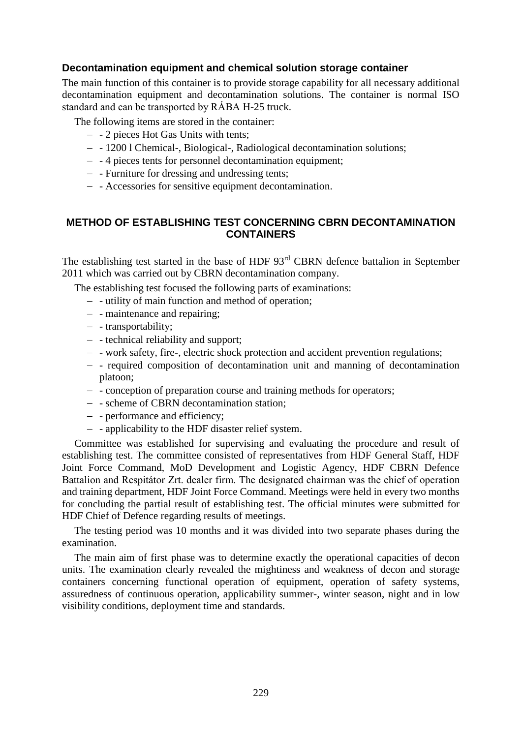#### **Decontamination equipment and chemical solution storage container**

The main function of this container is to provide storage capability for all necessary additional decontamination equipment and decontamination solutions. The container is normal ISO standard and can be transported by RÁBA H-25 truck.

The following items are stored in the container:

- 2 pieces Hot Gas Units with tents;
- 1200 l Chemical-, Biological-, Radiological decontamination solutions;
- 4 pieces tents for personnel decontamination equipment;
- Furniture for dressing and undressing tents;
- Accessories for sensitive equipment decontamination.

#### **METHOD OF ESTABLISHING TEST CONCERNING CBRN DECONTAMINATION CONTAINERS**

The establishing test started in the base of HDF 93<sup>rd</sup> CBRN defence battalion in September 2011 which was carried out by CBRN decontamination company.

The establishing test focused the following parts of examinations:

- utility of main function and method of operation;
- - maintenance and repairing;
- transportability;
- - technical reliability and support;
- - work safety, fire-, electric shock protection and accident prevention regulations;
- required composition of decontamination unit and manning of decontamination platoon;
- conception of preparation course and training methods for operators;
- scheme of CBRN decontamination station;
- performance and efficiency;
- applicability to the HDF disaster relief system.

Committee was established for supervising and evaluating the procedure and result of establishing test. The committee consisted of representatives from HDF General Staff, HDF Joint Force Command, MoD Development and Logistic Agency, HDF CBRN Defence Battalion and Respitátor Zrt. dealer firm. The designated chairman was the chief of operation and training department, HDF Joint Force Command. Meetings were held in every two months for concluding the partial result of establishing test. The official minutes were submitted for HDF Chief of Defence regarding results of meetings.

The testing period was 10 months and it was divided into two separate phases during the examination.

The main aim of first phase was to determine exactly the operational capacities of decon units. The examination clearly revealed the mightiness and weakness of decon and storage containers concerning functional operation of equipment, operation of safety systems, assuredness of continuous operation, applicability summer-, winter season, night and in low visibility conditions, deployment time and standards.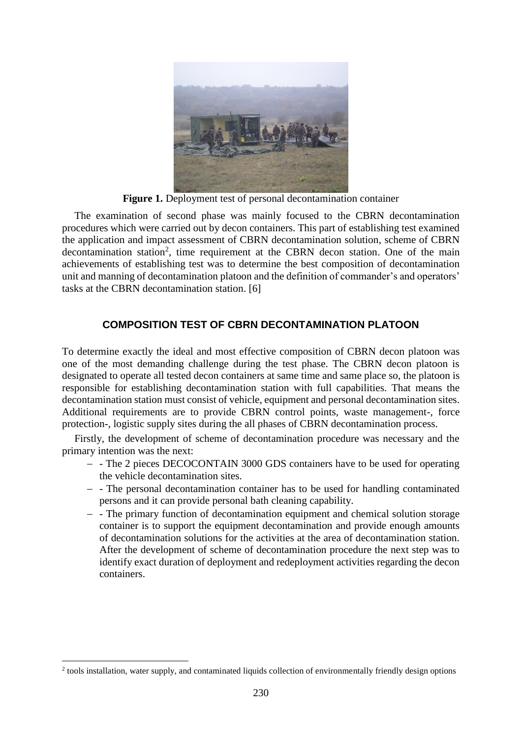

**Figure 1.** Deployment test of personal decontamination container

The examination of second phase was mainly focused to the CBRN decontamination procedures which were carried out by decon containers. This part of establishing test examined the application and impact assessment of CBRN decontamination solution, scheme of CBRN decontamination station<sup>2</sup>, time requirement at the CBRN decon station. One of the main achievements of establishing test was to determine the best composition of decontamination unit and manning of decontamination platoon and the definition of commander's and operators' tasks at the CBRN decontamination station. [6]

## **COMPOSITION TEST OF CBRN DECONTAMINATION PLATOON**

To determine exactly the ideal and most effective composition of CBRN decon platoon was one of the most demanding challenge during the test phase. The CBRN decon platoon is designated to operate all tested decon containers at same time and same place so, the platoon is responsible for establishing decontamination station with full capabilities. That means the decontamination station must consist of vehicle, equipment and personal decontamination sites. Additional requirements are to provide CBRN control points, waste management-, force protection-, logistic supply sites during the all phases of CBRN decontamination process.

Firstly, the development of scheme of decontamination procedure was necessary and the primary intention was the next:

- The 2 pieces DECOCONTAIN 3000 GDS containers have to be used for operating the vehicle decontamination sites.
- The personal decontamination container has to be used for handling contaminated persons and it can provide personal bath cleaning capability.
- The primary function of decontamination equipment and chemical solution storage container is to support the equipment decontamination and provide enough amounts of decontamination solutions for the activities at the area of decontamination station. After the development of scheme of decontamination procedure the next step was to identify exact duration of deployment and redeployment activities regarding the decon containers.

1

<sup>&</sup>lt;sup>2</sup> tools installation, water supply, and contaminated liquids collection of environmentally friendly design options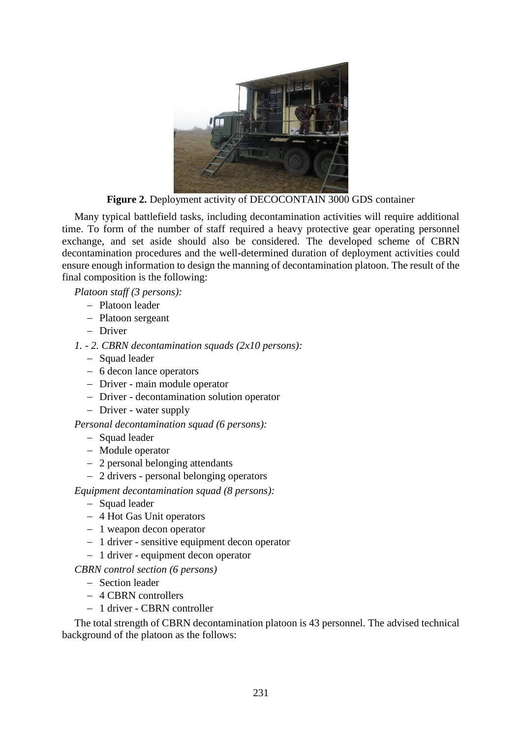

**Figure 2.** Deployment activity of DECOCONTAIN 3000 GDS container

Many typical battlefield tasks, including decontamination activities will require additional time. To form of the number of staff required a heavy protective gear operating personnel exchange, and set aside should also be considered. The developed scheme of CBRN decontamination procedures and the well-determined duration of deployment activities could ensure enough information to design the manning of decontamination platoon. The result of the final composition is the following:

*Platoon staff (3 persons):*

- Platoon leader
- Platoon sergeant
- Driver
- *1. - 2. CBRN decontamination squads (2x10 persons):*
	- Squad leader
	- 6 decon lance operators
	- Driver main module operator
	- Driver decontamination solution operator
	- Driver water supply

*Personal decontamination squad (6 persons):*

- Squad leader
- Module operator
- 2 personal belonging attendants
- 2 drivers personal belonging operators

*Equipment decontamination squad (8 persons):*

- Squad leader
- 4 Hot Gas Unit operators
- 1 weapon decon operator
- 1 driver sensitive equipment decon operator
- 1 driver equipment decon operator
- *CBRN control section (6 persons)*
	- Section leader
	- 4 CBRN controllers
	- 1 driver CBRN controller

The total strength of CBRN decontamination platoon is 43 personnel. The advised technical background of the platoon as the follows: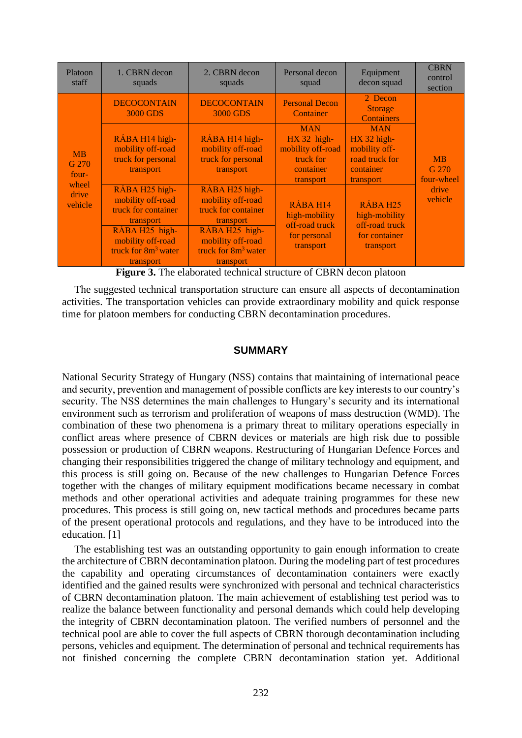| Platoon<br>staff                                         | 1. CBRN decon<br>squads                                                                                                                                                       | 2. CBRN decon<br>squads                                                                                                                                                       | Personal decon<br>squad                                                                 | Equipment<br>decon squad                                                                 | <b>CBRN</b><br>control<br>section                    |
|----------------------------------------------------------|-------------------------------------------------------------------------------------------------------------------------------------------------------------------------------|-------------------------------------------------------------------------------------------------------------------------------------------------------------------------------|-----------------------------------------------------------------------------------------|------------------------------------------------------------------------------------------|------------------------------------------------------|
| <b>MB</b><br>G 270<br>four-<br>wheel<br>drive<br>vehicle | <b>DECOCONTAIN</b><br>3000 GDS                                                                                                                                                | <b>DECOCONTAIN</b><br>3000 GDS                                                                                                                                                | <b>Personal Decon</b><br>Container                                                      | 2 Decon<br><b>Storage</b><br><b>Containers</b>                                           | <b>MB</b><br>G 270<br>four-wheel<br>drive<br>vehicle |
|                                                          | RÁBA H14 high-<br>mobility off-road<br>truck for personal<br>transport                                                                                                        | RÁBA H14 high-<br>mobility off-road<br>truck for personal<br>transport                                                                                                        | <b>MAN</b><br>$HX 32 high-$<br>mobility off-road<br>truck for<br>container<br>transport | <b>MAN</b><br>$HX$ 32 high-<br>mobility off-<br>road truck for<br>container<br>transport |                                                      |
|                                                          | RÁBA H <sub>25</sub> high-<br>mobility off-road<br>truck for container<br>transport<br>RÁBA H <sub>25</sub> high-<br>mobility off-road<br>truck for $8m^3$ water<br>transport | RÁBA H <sub>25</sub> high-<br>mobility off-road<br>truck for container<br>transport<br>RÁBA H <sub>25</sub> high-<br>mobility off-road<br>truck for $8m^3$ water<br>transport | RÁBA H14<br>high-mobility<br>off-road truck<br>for personal<br>transport                | RÁBA H <sub>25</sub><br>high-mobility<br>off-road truck<br>for container<br>transport    |                                                      |

**Figure 3.** The elaborated technical structure of CBRN decon platoon

The suggested technical transportation structure can ensure all aspects of decontamination activities. The transportation vehicles can provide extraordinary mobility and quick response time for platoon members for conducting CBRN decontamination procedures.

#### **SUMMARY**

National Security Strategy of Hungary (NSS) contains that maintaining of international peace and security, prevention and management of possible conflicts are key interests to our country's security. The NSS determines the main challenges to Hungary's security and its international environment such as terrorism and proliferation of weapons of mass destruction (WMD). The combination of these two phenomena is a primary threat to military operations especially in conflict areas where presence of CBRN devices or materials are high risk due to possible possession or production of CBRN weapons. Restructuring of Hungarian Defence Forces and changing their responsibilities triggered the change of military technology and equipment, and this process is still going on. Because of the new challenges to Hungarian Defence Forces together with the changes of military equipment modifications became necessary in combat methods and other operational activities and adequate training programmes for these new procedures. This process is still going on, new tactical methods and procedures became parts of the present operational protocols and regulations, and they have to be introduced into the education. [1]

The establishing test was an outstanding opportunity to gain enough information to create the architecture of CBRN decontamination platoon. During the modeling part of test procedures the capability and operating circumstances of decontamination containers were exactly identified and the gained results were synchronized with personal and technical characteristics of CBRN decontamination platoon. The main achievement of establishing test period was to realize the balance between functionality and personal demands which could help developing the integrity of CBRN decontamination platoon. The verified numbers of personnel and the technical pool are able to cover the full aspects of CBRN thorough decontamination including persons, vehicles and equipment. The determination of personal and technical requirements has not finished concerning the complete CBRN decontamination station yet. Additional